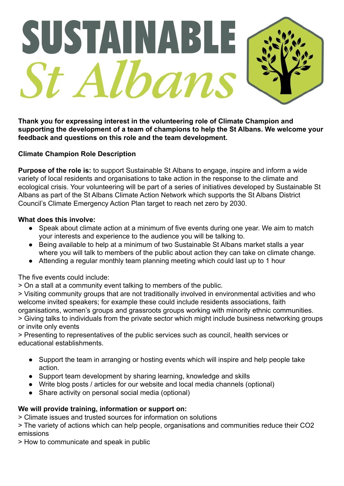

**Thank you for expressing interest in the volunteering role of Climate Champion and supporting the development of a team of champions to help the St Albans. We welcome your feedback and questions on this role and the team development.**

# **Climate Champion Role Description**

**Purpose of the role is:** to support Sustainable St Albans to engage, inspire and inform a wide variety of local residents and organisations to take action in the response to the climate and ecological crisis. Your volunteering will be part of a series of initiatives developed by Sustainable St Albans as part of the St Albans Climate Action Network which supports the St Albans District Council's Climate Emergency Action Plan target to reach net zero by 2030.

# **What does this involve:**

- Speak about climate action at a minimum of five events during one year. We aim to match your interests and experience to the audience you will be talking to.
- Being available to help at a minimum of two Sustainable St Albans market stalls a year where you will talk to members of the public about action they can take on climate change.
- Attending a regular monthly team planning meeting which could last up to 1 hour

The five events could include:

> On a stall at a community event talking to members of the public.

> Visiting community groups that are not traditionally involved in environmental activities and who welcome invited speakers; for example these could include residents associations, faith organisations, women's groups and grassroots groups working with minority ethnic communities.

> Giving talks to individuals from the private sector which might include business networking groups or invite only events

> Presenting to representatives of the public services such as council, health services or educational establishments.

- Support the team in arranging or hosting events which will inspire and help people take action.
- Support team development by sharing learning, knowledge and skills
- Write blog posts / articles for our website and local media channels (optional)
- Share activity on personal social media (optional)

# **We will provide training, information or support on:**

> Climate issues and trusted sources for information on solutions

> The variety of actions which can help people, organisations and communities reduce their CO2 emissions

> How to communicate and speak in public